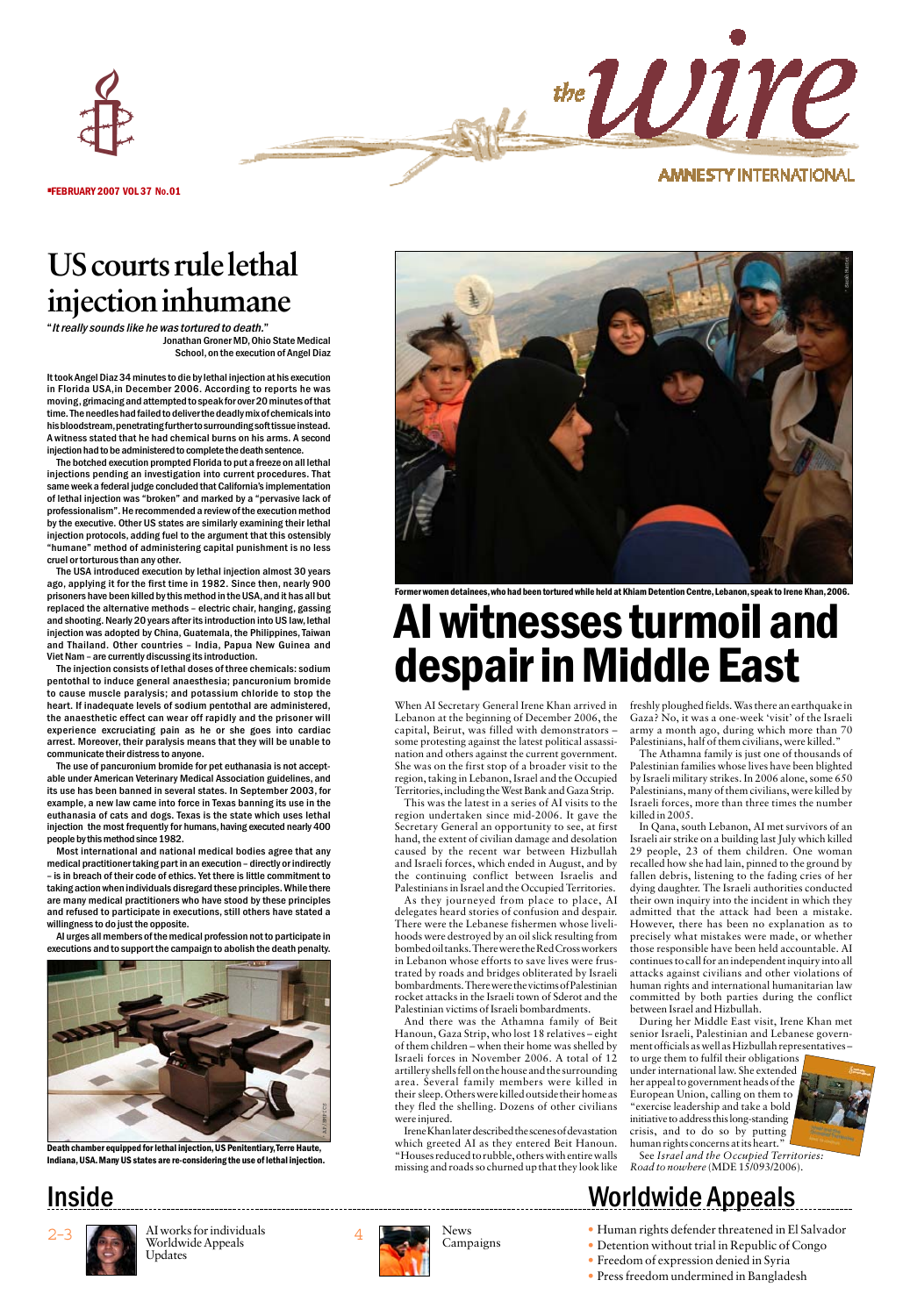• FEBRUARY 2007 VOL 37 NO.01

## **AMNESTY INTERNATIONAL**

the Wire

# **US courts rule lethal injection inhumane**

"It really sounds like he was tortured to death."

Jonathan Groner MD,Ohio State Medical School,on the execution of Angel Diaz

It took Angel Diaz 34 minutes to die by lethal injection at his execution in Florida USA,in December 2006. According to reports he was moving, grimacing and attempted to speak for over 20 minutes of that time. The needles had failed to deliver the deadly mix of chemicals into his bloodstream,penetrating further to surrounding soft tissue instead. A witness stated that he had chemical burns on his arms. A second injection had to be administered to complete the death sentence.

The botched execution prompted Florida to put a freeze on all lethal injections pending an investigation into current procedures. That same week a federal judge concluded that California's implementation of lethal injection was "broken" and marked by a "pervasive lack of professionalism". He recommended a review of the execution method by the executive. Other US states are similarly examining their lethal injection protocols, adding fuel to the argument that this ostensibly "humane" method of administering capital punishment is no less cruel or torturous than any other.

The USA introduced execution by lethal injection almost 30 years ago, applying it for the first time in 1982. Since then, nearly 900 prisoners have been killed by this method in the USA, and it has all but replaced the alternative methods – electric chair, hanging, gassing and shooting. Nearly 20 years after its introduction into US law, lethal injection was adopted by China, Guatemala, the Philippines, Taiwan and Thailand. Other countries – India, Papua New Guinea and Viet Nam – are currently discussing its introduction.

The injection consists of lethal doses of three chemicals: sodium pentothal to induce general anaesthesia; pancuronium bromide to cause muscle paralysis; and potassium chloride to stop the heart. If inadequate levels of sodium pentothal are administered, the anaesthetic effect can wear off rapidly and the prisoner will experience excruciating pain as he or she goes into cardiac arrest. Moreover, their paralysis means that they will be unable to communicate their distress to anyone.

The use of pancuronium bromide for pet euthanasia is not acceptable under American Veterinary Medical Association guidelines, and its use has been banned in several states. In September 2003, for example, a new law came into force in Texas banning its use in the euthanasia of cats and dogs. Texas is the state which uses lethal injection the most frequently for humans, having executed nearly 400 people by this method since 1982.

Most international and national medical bodies agree that any medical practitioner taking part in an execution – directly or indirectly – is in breach of their code of ethics. Yet there is little commitment to taking action when individuals disregard these principles. While there are many medical practitioners who have stood by these principles and refused to participate in executions, still others have stated a willingness to do just the opposite.

AI urges all members of the medical profession not to participate in executions and to support the campaign to abolish the death penalty.



Death chamber equipped for lethal injection,US Penitentiary,Terre Haute, Indiana,USA.Many US states are re-considering the use of lethal injection.



n detainees, who had been tortured while held at Khiam Detention Centre, Lebanon, speak to Irene Khan, 2006.

# AI witnesses turmoil and despair in Middle East

When AI Secretary General Irene Khan arrived in Lebanon at the beginning of December 2006, the capital, Beirut, was filled with demonstrators – some protesting against the latest political assassination and others against the current government. She was on the first stop of a broader visit to the region, taking in Lebanon, Israel and the Occupied Territories, including the West Bank and Gaza Strip.

This was the latest in a series of AI visits to the region undertaken since mid-2006. It gave the Secretary General an opportunity to see, at first hand, the extent of civilian damage and desolation caused by the recent war between Hizbullah and Israeli forces, which ended in August, and by the continuing conflict between Israelis and Palestinians in Israel and the Occupied Territories.

As they journeyed from place to place, AI delegates heard stories of confusion and despair. There were the Lebanese fishermen whose livelihoods were destroyed by an oil slick resulting from bombed oil tanks. There were the Red Cross workers in Lebanon whose efforts to save lives were frustrated by roads and bridges obliterated by Israeli bombardments. There were the victims of Palestinian rocket attacks in the Israeli town of Sderot and the Palestinian victims of Israeli bombardments.

And there was the Athamna family of Beit Hanoun, Gaza Strip, who lost 18 relatives – eight of them children – when their home was shelled by Israeli forces in November 2006. A total of 12 artillery shells fell on the house and the surrounding area. Several family members were killed in their sleep. Others were killed outside their home as they fled the shelling. Dozens of other civilians were injured.

Irene Khan later described the scenes of devastation which greeted AI as they entered Beit Hanoun. "Houses reduced to rubble, others with entire walls missing and roads so churned up that they look like freshly ploughed fields. Was there an earthquake in Gaza? No, it was a one-week 'visit' of the Israeli army a month ago, during which more than 70 Palestinians, half of them civilians, were killed."

The Athamna family is just one of thousands of Palestinian families whose lives have been blighted by Israeli military strikes. In 2006 alone, some 650 Palestinians, many of them civilians, were killed by Israeli forces, more than three times the number killed in 2005.

In Qana, south Lebanon, AI met survivors of an Israeli air strike on a building last July which killed 29 people, 23 of them children. One woman recalled how she had lain, pinned to the ground by fallen debris, listening to the fading cries of her dying daughter. The Israeli authorities conducted their own inquiry into the incident in which they admitted that the attack had been a mistake. However, there has been no explanation as to precisely what mistakes were made, or whether those responsible have been held accountable. AI continues to call for an independent inquiry into all attacks against civilians and other violations of human rights and international humanitarian law committed by both parties during the conflict between Israel and Hizbullah.

During her Middle East visit, Irene Khan met senior Israeli, Palestinian and Lebanese government officials as well as Hizbullah representatives – to urge them to fulfil their obligations

under international law. She extended her appeal to government heads of the European Union, calling on them to "exercise leadership and take a bold initiative to address this long-standing crisis, and to do so by putting human rights concerns at its heart."

See *Israel and the Occupied Territories: Road to nowhere* (MDE 15/093/2006).

# Inside Morldwide Appeals



AI works for individuals Worldwide Appeals Updates



News<br>Campaigns

• Human rights defender threatened in El Salvador

- Detention without trial in Republic of Congo
- Freedom of expression denied in Syria
- Press freedom undermined in Bangladesh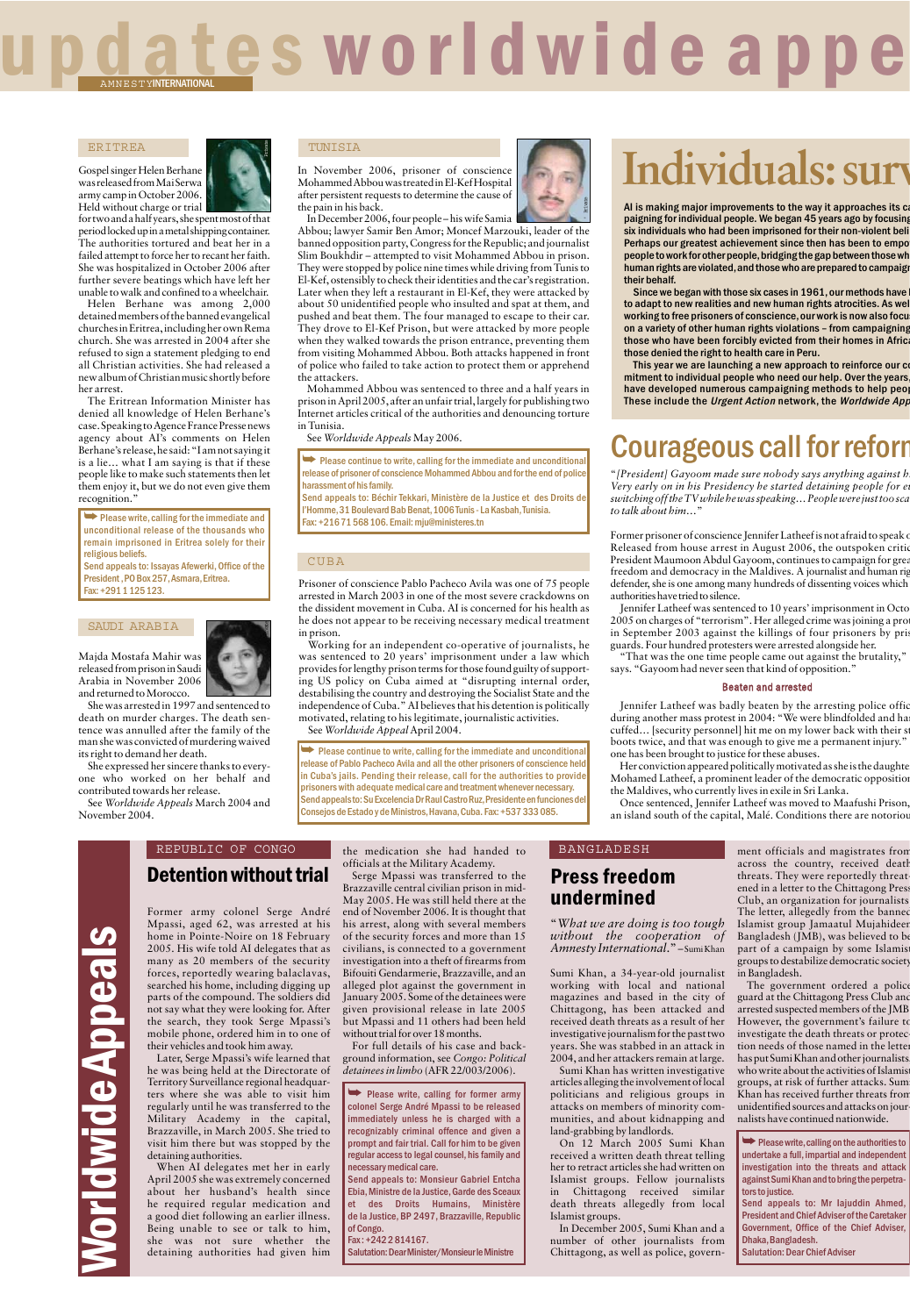# es worldwide appe AMNESTYINTERNATIONAL

#### ERITREA

Gospel singer Helen Berhane was released from Mai Serwa army camp in October 2006. Held without charge or trial



for two and a half years, she spent most of that period locked up in a metal shipping container. The authorities tortured and beat her in a failed attempt to force her to recant her faith. She was hospitalized in October 2006 after further severe beatings which have left her unable to walk and confined to a wheelchair.

Helen Berhane was among 2,000 detained members of the banned evangelical churches in Eritrea, including her own Rema church. She was arrested in 2004 after she refused to sign a statement pledging to end all Christian activities. She had released a new album of Christian music shortly before her arrest.

The Eritrean Information Minister has denied all knowledge of Helen Berhane's case. Speaking to Agence France Presse news agency about AI's comments on Helen Berhane's release, he said: "I am not saying it is a lie… what I am saying is that if these people like to make such statements then let them enjoy it, but we do not even give them recognition."

➥ Please write,calling for the immediate and unconditional release of the thousands who remain imprisoned in Eritrea solely for their religious beliefs.

Send appeals to: Issayas Afewerki, Office of the President ,PO Box 257,Asmara,Eritrea. Fax: +291 1 125 123.

#### SAUDI ARABIA

Majda Mostafa Mahir was released from prison in Saudi Arabia in November 2006 and returned to Morocco.

' Private

She was arrested in 1997 and sentenced to death on murder charges. The death sentence was annulled after the family of the man she was convicted of murdering waived its right to demand her death.

She expressed her sincere thanks to everyone who worked on her behalf and contributed towards her release.

See *Worldwide Appeals* March 2004 and November 2004.

#### TUNISIA

In November 2006, prisoner of conscience Mohammed Abbou was treated in El-Kef Hospital after persistent requests to determine the cause of the pain in his back.

In December 2006, four people –his wife Samia Abbou; lawyer Samir Ben Amor; Moncef Marzouki, leader of the banned opposition party, Congress for the Republic; and journalist Slim Boukhdir – attempted to visit Mohammed Abbou in prison. They were stopped by police nine times while driving from Tunis to El-Kef, ostensibly to check their identities and the car's registration. Later when they left a restaurant in El-Kef, they were attacked by about 50 unidentified people who insulted and spat at them, and pushed and beat them. The four managed to escape to their car. They drove to El-Kef Prison, but were attacked by more people when they walked towards the prison entrance, preventing them from visiting Mohammed Abbou. Both attacks happened in front of police who failed to take action to protect them or apprehend the attackers.

Mohammed Abbou was sentenced to three and a half years in prison in April 2005, after an unfair trial, largely for publishing two Internet articles critical of the authorities and denouncing torture in Tunisia.

See Worldwide Appeals May 2006.

**► Please continue to write, calling for the immediate and unconditional** release of prisoner of conscience Mohammed Abbou and for the end of police harassment of his family.

Send appeals to: Béchir Tekkari, Ministère de la Justice et des Droits de l'Homme,31 Boulevard Bab Benat,1006 Tunis - La Kasbah,Tunisia. Fax: +216 71 568 106. Email: mju@ministeres.tn

#### CUBA

Prisoner of conscience Pablo Pacheco Avila was one of 75 people arrested in March 2003 in one of the most severe crackdowns on the dissident movement in Cuba. AI is concerned for his health as he does not appear to be receiving necessary medical treatment

in prison. Working for an independent co-operative of journalists, he was sentenced to 20 years' imprisonment under a law which provides for lengthy prison terms for those found guilty of supporting US policy on Cuba aimed at "disrupting internal order, destabilising the country and destroying the Socialist State and the independence of Cuba." AI believes that his detention is politically motivated, relating to his legitimate, journalistic activities. See *Worldwide Appeal* April 2004.

 $\rightarrow$  Please continue to write, calling for the immediate and unconditional release of Pablo Pacheco Avila and all the other prisoners of conscience held in Cuba's jails. Pending their release, call for the authorities to provide prisoners with adequatemedical care and treatment whenever necessary. Send appeals to: Su Excelencia Dr Raul Castro Ruz,Presidente en funciones del Consejos de Estado y de Ministros,Havana,Cuba. Fax: +537 333 085.

### Detention without trial REPUBLIC OF CONGO

Former army colonel Serge André Mpassi, aged 62, was arrested at his home in Pointe-Noire on 18 February 2005. His wife told AI delegates that as many as 20 members of the security forces, reportedly wearing balaclavas, searched his home, including digging up parts of the compound. The soldiers did not say what they were looking for. After the search, they took Serge Mpassi's mobile phone, ordered him in to one of their vehicles and took him away.

Later, Serge Mpassi's wife learned that he was being held at the Directorate of Territory Surveillance regional headquarters where she was able to visit him regularly until he was transferred to the Military Academy in the capital, Brazzaville, in March 2005. She tried to visit him there but was stopped by the detaining authorities.

When AI delegates met her in early April 2005 she was extremely concerned about her husband's health since he required regular medication and a good diet following an earlier illness. Being unable to see or talk to him,<br>she was not sure whether the was not sure whether the detaining authorities had given him

the medication she had handed to officials at the Military Academy.

Serge Mpassi was transferred to the Brazzaville central civilian prison in mid-May 2005. He was still held there at the end of November 2006. It is thought that his arrest, along with several members of the security forces and more than 15 civilians, is connected to a government investigation into a theft of firearms from Bifouiti Gendarmerie, Brazzaville, and an alleged plot against the government in January 2005. Some of the detainees were given provisional release in late 2005 but Mpassi and 11 others had been held without trial for over 18 months.

For full details of his case and background information, see *Congo: Political detainees in limbo* (AFR 22/003/2006).

➥ Please write, calling for former army colonel Serge André Mpassi to be released immediately unless he is charged with a recognizably criminal offence and given a prompt and fair trial. Call for him to be given regular access to legal counsel, his family and necessary medical care.

Send appeals to: Monsieur Gabriel Entcha Ebia,Ministre de la Justice,Garde des Sceaux et des Droits Humains, Ministère de la Justice, BP 2497, Brazzaville, Republic of Cong

Fax : +242 2 814167. Salutation: Dear Minister/Monsieur le Ministre

# **Individuals: surv**

AI is making major improvements to the way it approaches its can paigning for individual people. We began 45 years ago by focusing six individuals who had been imprisoned for their non-violent beli Perhaps our greatest achievement since then has been to empo<br>people to work for other people, bridging the gap between those wh human rights are violated, and those who are prepared to campaign their behalf.

Since we began with those six cases in 1961, our methods have to adapt to new realities and new human rights atrocities. As wel working to free prisoners of conscience, our work is now also focu on a variety of other human rights violations – from campaigning those who have been forcibly evicted from their homes in Africa those denied the right to health care in Peru.

This year we are launching a new approach to reinforce our co mitment to individual people who need our help. Over the years, have developed numerous campaigning methods to help peo These include the Urgent Action network, the Worldwide App

# **Courageous call for reforr**

"*[President] Gayoom made sure nobody says anything against hi vertiling any statistical entering the inspiring against a*<br>Very early on in his Presidency he started detaining people for e *switching off the TV while he was speaking… People were just too sca to talk about him…*"

Former prisoner of conscience Jennifer Latheef is not afraid to speak of Released from house arrest in August 2006, the outspoken critic President Maumoon Abdul Gayoom, continues to campaign for grea freedom and democracy in the Maldives. A journalist and human rig defender, she is one among many hundreds of dissenting voices which authorities have tried to silence.

Jennifer Latheef was sentenced to 10 years' imprisonment in Octo 2005 on charges of "terrorism". Her alleged crime was joining a prot in September 2003 against the killings of four prisoners by pris guards. Four hundred protesters were arrested alongside her.

"That was the one time people came out against the brutality," says. "Gayoom had never seen that kind of opposition."

#### Beaten and arrested

Jennifer Latheef was badly beaten by the arresting police offic during another mass protest in 2004: "We were blindfolded and ha cuffed… [security personnel] hit me on my lower back with their st boots twice, and that was enough to give me a permanent injury." one has been brought to justice for these abuses.

Her conviction appeared politically motivated as she is the daughter Mohamed Latheef, a prominent leader of the democratic opposition the Maldives, who currently lives in exile in Sri Lanka.

Once sentenced, Jennifer Latheef was moved to Maafushi Prison, an island south of the capital, Malé. Conditions there are notoriou

# BANGLADESH

## Press freedom undermined

"*What we are doing is too tough without the cooperation of Amnesty International*."– Sumi Khan

Sumi Khan, a 34-year-old journalist working with local and national magazines and based in the city of Chittagong, has been attacked and received death threats as a result of her investigative journalism for the past two years. She was stabbed in an attack in 2004, and her attackers remain at large.

Sumi Khan has written investigative articles alleging the involvement of local politicians and religious groups in attacks on members of minority communities, and about kidnapping and land-grabbing by landlords.

On 12 March 2005 Sumi Khan received a written death threat telling her to retract articles she had written on Islamist groups. Fellow journalists in Chittagong received similar death threats allegedly from local

Islamist groups. In December 2005, Sumi Khan and a number of other journalists from Chittagong, as well as police, govern-

ment officials and magistrates from across the country, received death threats. They were reportedly threatened in a letter to the Chittagong Press Club, an organization for journalists The letter, allegedly from the banned Islamist group Jamaatul Mujahideen Bangladesh (JMB), was believed to be part of a campaign by some Islamist groups to destabilize democratic society in Bangladesh.

The government ordered a police guard at the Chittagong Press Club and arrested suspected members of the JMB However, the government's failure to investigate the death threats or protection needs of those named in the lette has put Sumi Khan and other journalists, who write about the activities of Islamis groups, at risk of further attacks. Sumi Khan has received further threats from unidentified sources and attacks on journalists have continued nationwide.

 $\blacktriangleright$  Please write, calling on the authorities to undertake a full, impartial and independent investigation into the threats and attack against Sumi Khan and to bring the perpetrators to justice.

Send appeals to: Mr Iajuddin Ahmed, President and Chief Adviser of the Caretaker Government, Office of the Chief Adviser, Dhaka,Bangladesh. Salutation: Dear Chief Adviser

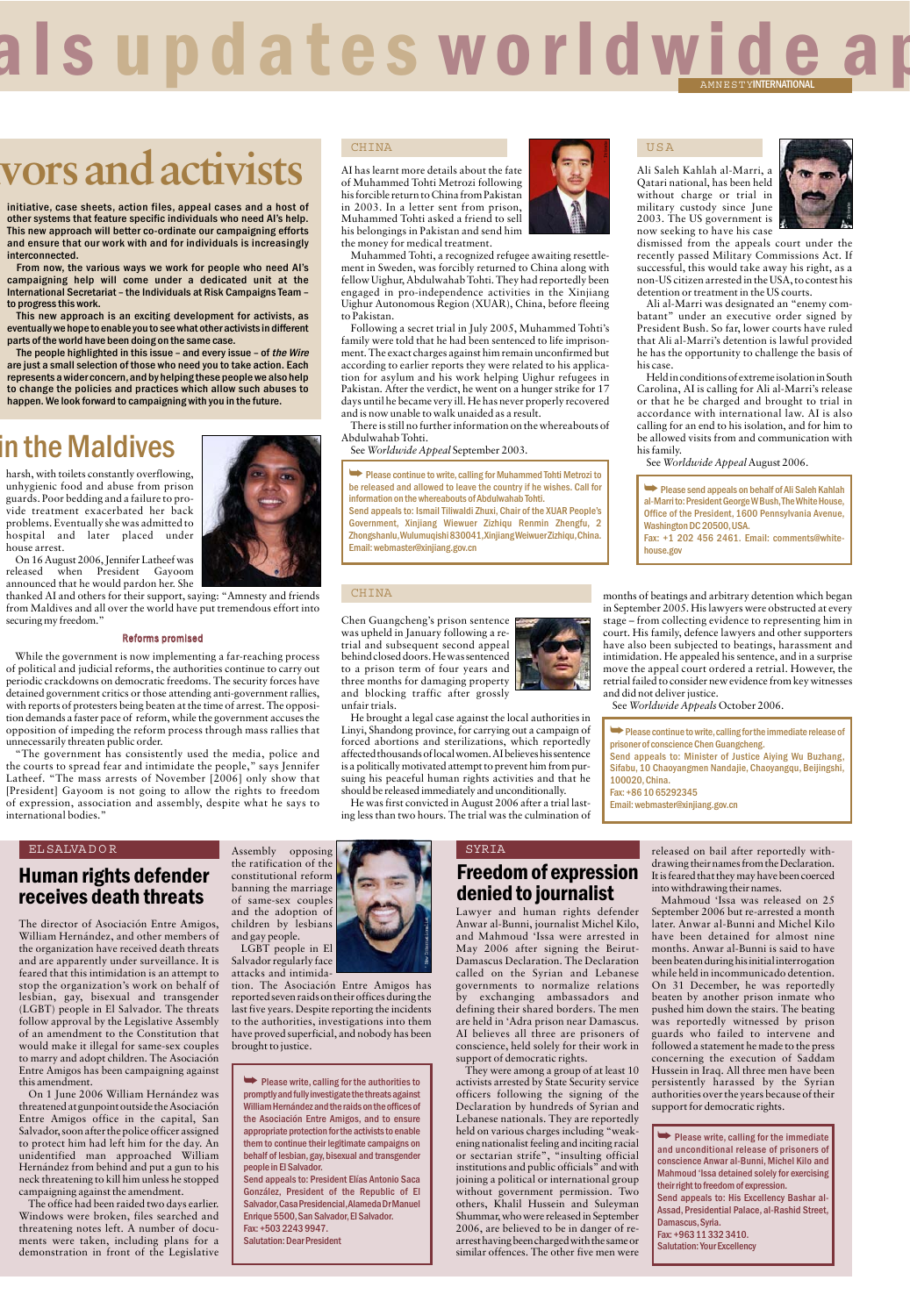# als updates worldwide ap

# **ivors and activists**

initiative, case sheets, action files, appeal cases and a host of other systems that feature specific individuals who need AI's help. This new approach will better co-ordinate our campaigning efforts and ensure that our work with and for individuals is increasingly interconnected.

From now, the various ways we work for people who need AI's campaigning help will come under a dedicated unit at the International Secretariat – the Individuals at Risk Campaigns Team – to progress this work.

This new approach is an exciting development for activists, as eventually we hope to enable you to see what other activists in different parts of the world have been doing on the same case.

The people highlighted in this issue – and every issue – of the Wire are just a small selection of those who need you to take action. Each represents a wider concern,and by helping these people we also help to change the policies and practices which allow such abuses to happen. We look forward to campaigning with you in the future.

## in the Maldives

harsh, with toilets constantly overflowing, unhygienic food and abuse from prison guards. Poor bedding and a failure to provide treatment exacerbated her back problems. Eventually she was admitted to<br>hospital and later placed under hospital and later placed house arrest.

On 16 August 2006, Jennifer Latheef was released when President Gayoom announced that he would pardon her. She

thanked AI and others for their support, saying: "Amnesty and friends from Maldives and all over the world have put tremendous effort into securing my freedom."

#### Reforms promised

While the government is now implementing a far-reaching process of political and judicial reforms, the authorities continue to carry out periodic crackdowns on democratic freedoms. The security forces have detained government critics or those attending anti-government rallies, with reports of protesters being beaten at the time of arrest. The opposition demands a faster pace of reform, while the government accuses the opposition of impeding the reform process through mass rallies that unnecessarily threaten public order.

"The government has consistently used the media, police and the courts to spread fear and intimidate the people," says Jennifer Latheef. "The mass arrests of November [2006] only show that [President] Gayoom is not going to allow the rights to freedom of expression, association and assembly, despite what he says to international bodies."

#### CHINA

to Pakistan.

Abdulwahab Tohti.

AI has learnt more details about the fate of Muhammed Tohti Metrozi following his forcible return to China from Pakistan in 2003. In a letter sent from prison, Muhammed Tohti asked a friend to sell his belongings in Pakistan and send him the money for medical treatment. Muhammed Tohti, a recognized refugee awaiting resettle-

and is now unable to walk unaided as a result.

See *Worldwide Appeal* September 2003.

information on the whereabouts of Abdulwahab Tohti. Send appeals to: Ismail Tiliwaldi Zhuxi, Chair of the XUAR People's Government, Xinjiang Wiewuer Zizhiqu Renmin Zhengfu, 2

ment in Sweden, was forcibly returned to China along with fellow Uighur, Abdulwahab Tohti. They had reportedly been engaged in pro-independence activities in the Xinjiang Uighur Autonomous Region (XUAR), China, before fleeing

Following a secret trial in July 2005, Muhammed Tohti's family were told that he had been sentenced to life imprisonment. The exact charges against him remain unconfirmed but according to earlier reports they were related to his application for asylum and his work helping Uighur refugees in Pakistan. After the verdict, he went on a hunger strike for 17 days until he became very ill. He has never properly recovered

There is still no further information on the whereabouts of

➥ Please continue to write,calling for Muhammed Tohti Metrozi to be released and allowed to leave the country if he wishes. Call for



#### USA

Ali Saleh Kahlah al-Marri, a Qatari national, has been held without charge or trial in military custody since June 2003. The US government is now seeking to have his case



dismissed from the appeals court under the recently passed Military Commissions Act. If successful, this would take away his right, as a non-US citizen arrested in the USA, to contest his detention or treatment in the US courts.

Ali al-Marri was designated an "enemy combatant" under an executive order signed by President Bush. So far, lower courts have ruled that Ali al-Marri's detention is lawful provided he has the opportunity to challenge the basis of his case.

Held in conditions of extreme isolation in South Carolina, AI is calling for Ali al-Marri's release or that he be charged and brought to trial in accordance with international law. AI is also calling for an end to his isolation, and for him to be allowed visits from and communication with his family.

See *Worldwide Appeal* August 2006.

➥ Please send appeals on behalf of Ali Saleh Kahlah al-Marri to: President George W Bush,The White House, Office of the President, 1600 Pennsylvania Avenue, Washington DC 20500,USA. Fax: +1 202 456 2461. Email: comments@whitehouse.gov

CHINA

' AI

Chen Guangcheng's prison sentence was upheld in January following a retrial and subsequent second appeal behind closed doors. He was sentenced to a prison term of four years and three months for damaging property and blocking traffic after grossly unfair trials.

affected thousands of local women. AI believes his sentence is a politically motivated attempt to prevent him from pursuing his peaceful human rights activities and that he should be released immediately and unconditionally. He was first convicted in August 2006 after a trial lasting less than two hours. The trial was the culmination of

Email: webmaster@xinjiang.gov.cn

' New Internationalist



months of beatings and arbitrary detention which began in September 2005. His lawyers were obstructed at every stage – from collecting evidence to representing him in court. His family, defence lawyers and other supporters have also been subjected to beatings, harassment and intimidation. He appealed his sentence, and in a surprise move the appeal court ordered a retrial. However, the retrial failed to consider new evidence from key witnesses and did not deliver justice.

See *Worldwide Appeals* October 2006.

➥Please continue to write,calling for the immediate release of prisoner of conscience Chen Guangcheng. Send appeals to: Minister of Justice Aiying Wu Buzhang, Sifabu, 10 Chaoyangmen Nandajie, Chaoyangqu, Beijingshi, 100020,China.

Fax: +86 10 65292345

Email: webmaster@xinjiang.gov.cn

#### EL SALVA D O R

## Human rights defender receives death threats

The director of Asociación Entre Amigos, William Hernández, and other members of the organization have received death threats and are apparently under surveillance. It is feared that this intimidation is an attempt to stop the organization's work on behalf of lesbian, gay, bisexual and transgender (LGBT) people in El Salvador. The threats follow approval by the Legislative Assembly of an amendment to the Constitution that would make it illegal for same-sex couples to marry and adopt children. The Asociación Entre Amigos has been campaigning against this amendment.

On 1 June 2006 William Hernández was threatened at gunpoint outside the Asociación Entre Amigos office in the capital, San Salvador, soon after the police officer assigned to protect him had left him for the day. An unidentified man approached William Hernández from behind and put a gun to his neck threatening to kill him unless he stopped campaigning against the amendment.

The office had been raided two days earlier. Windows were broken, files searched and threatening notes left. A number of documents were taken, including plans for a demonstration in front of the Legislative



LGBT people in El Salvador regularly face attacks and intimida-

tion. The Asociación Entre Amigos has reported seven raids on their offices during the last five years. Despite reporting the incidents to the authorities, investigations into them have proved superficial, and nobody has been brought to justice.

➥ Please write, calling for the authorities to promptly and fully investigate the threats against William Hernández and the raids on the offices of the Asociación Entre Amigos, and to ensure appropriate protection for the activists to enable them to continue their legitimate campaigns on behalf of lesbian, gay, bisexual and transgender people in El Salvador.

Send appeals to: President Elías Antonio Saca González, President of the Republic of El Salvador,Casa Presidencial,Alameda Dr Manuel Enrique 5500, San Salvador, El Salvador. Fax: +503 2243 9947.

Salutation: Dear President

## SYRIA Freedom of expression denied to journalist

Lawyer and human rights defender Anwar al-Bunni, journalist Michel Kilo, and Mahmoud 'Issa were arrested in May 2006 after signing the Beirut-Damascus Declaration. The Declaration called on the Syrian and Lebanese governments to normalize relations by exchanging ambassadors and defining their shared borders. The men are held in 'Adra prison near Damascus. AI believes all three are prisoners of conscience, held solely for their work in support of democratic rights.

They were among a group of at least 10 activists arrested by State Security service officers following the signing of the Declaration by hundreds of Syrian and Lebanese nationals. They are reportedly held on various charges including "weakening nationalist feeling and inciting racial or sectarian strife", "insulting official institutions and public officials" and with joining a political or international group<br>without\_government\_permission.\_Two government permission. Two others, Khalil Hussein and Suleyman Shummar, who were released in September 2006, are believed to be in danger of rearrest having been charged with the same or similar offences. The other five men were released on bail after reportedly withdrawing their names from the Declaration. It is feared that they may have been coerced into withdrawing their names.

Mahmoud 'Issa was released on 25 September 2006 but re-arrested a month later. Anwar al-Bunni and Michel Kilo have been detained for almost nine months. Anwar al-Bunni is said to have been beaten during his initial interrogation while held in incommunicado detention. On 31 December, he was reportedly beaten by another prison inmate who pushed him down the stairs. The beating was reportedly witnessed by prison guards who failed to intervene and followed a statement he made to the press concerning the execution of Saddam Hussein in Iraq. All three men have been persistently harassed by the Syrian authorities over the years because of their support for democratic rights.

 $\rightarrow$  Please write, calling for the immediate and unconditional release of prisoners of conscience Anwar al-Bunni, Michel Kilo and Mahmoud 'Issa detained solely for exercising their right to freedom of expression. Send appeals to: His Excellency Bashar al-Assad, Presidential Palace, al-Rashid Street, Damascus, Syria. Fax: +963 11 332 3410. Salutation: Your Excellency

He brought a legal case against the local authorities in Linyi, Shandong province, for carrying out a campaign of forced abortions and sterilizations, which reportedly

Zhongshanlu,Wulumuqishi 830041,Xinjiang Weiwuer Zizhiqu,China.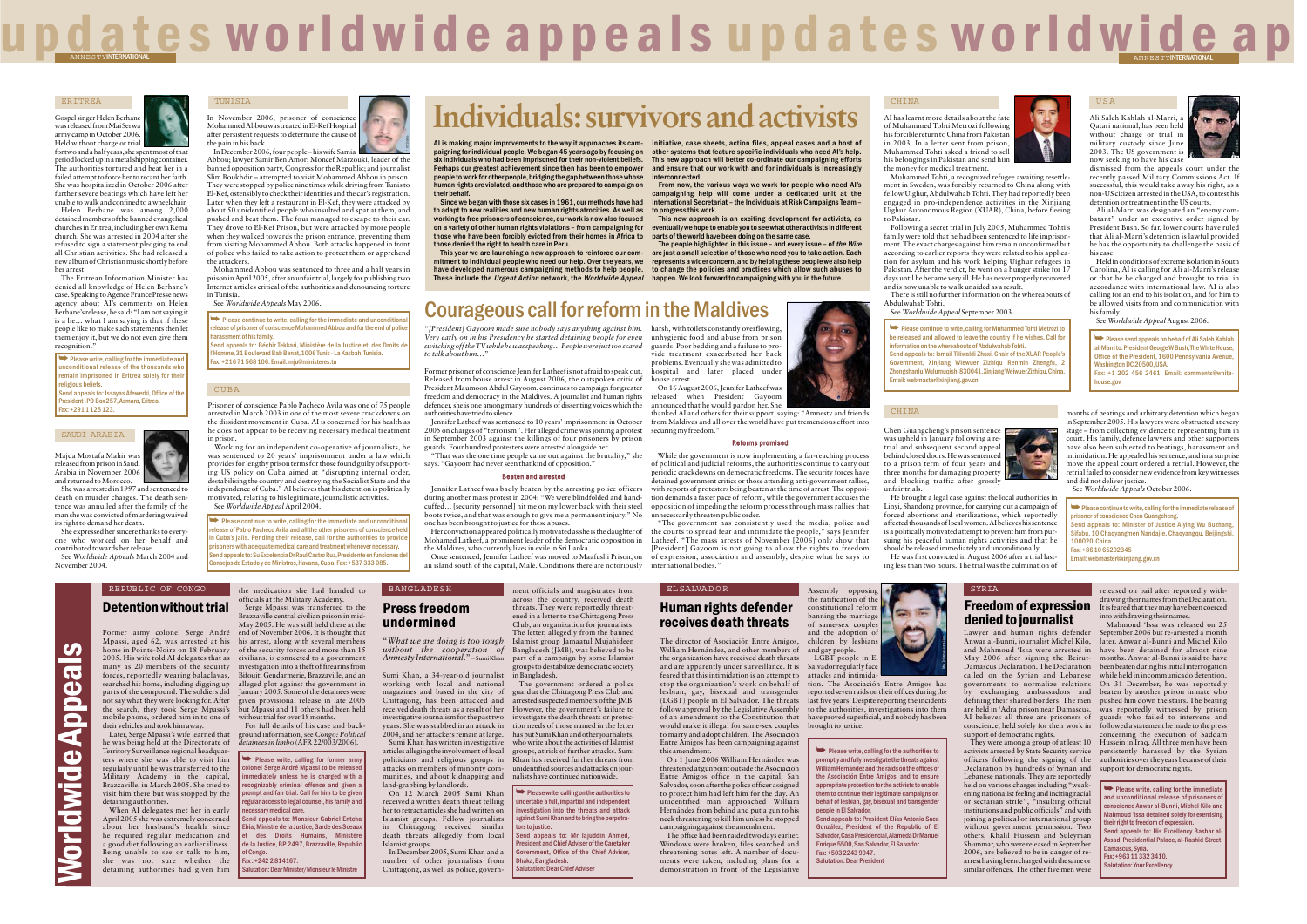"*What we are doing is too tough without the cooperation of Amnesty International*."– Sumi Khan

to talk about him...

Sumi Khan, a 34-year-old journalist working with local and national magazines and based in the city of Chittagong, has been attacked and received death threats as a result of her However, the government's failure to investigative journalism for the past two investigate the death threats or protec- She was stabbed in an attack in 2004, and her attackers remain at large. Sumi Khan has written investigative

articles alleging the involvement of local politicians and religious groups in attacks on members of minority communities, and about kidnapping and land-grabbing by landlords.

On 12 March 2005 Sumi Khan received a written death threat telling her to retract articles she had written on Islamist groups. Fellow journalists in Chittagong received similar death threats allegedly from local Islamist groups.

The government ordered a police guard at the Chittagong Press Club and arrested suspected members of the JMB. tion needs of those named in the lette has put Sumi Khan and other journalists, who write about the activities of Islamist groups, at risk of further attacks. Sumi Khan has received further threats from unidentified sources and attacks on jour-

 $\blacktriangleright$  Please write, calling on the authorities to undertake a full, impartial and independent increase a ran, impartant and independent ainst Sumi Khan and to bring the perpetra .<br>rs to justice. end appeals to: Mr Iajuddin Ahmed

President and Chief Adviser of the Caretake ernment, Office of the Chief Advise **Dhaka, Bangladesh** Salutation: Dear Chief Adviser

In December 2005, Sumi Khan and a number of other journalists from Chittagong, as well as police, government officials and magistrates from

across the country, received death threats. They were reportedly threat ened in a letter to the Chittagong Press Club, an organization for journalists. The letter, allegedly from the banned Islamist group Jamaatul Mujahideen Bangladesh (JMB), was believed to be part of a campaign by some Islamist groups to destabilize democratic society

held on various charges including "weak ening nationalist feeling and inciting racial or sectarian strife", "insulting official institutions and public officials" and with joining a political or international group without government permission. Two others, Khalil Hussein and Suleyman Shummar, who were released in September 2006, are believed to be in danger of re arrest having been charged with the same or<br>similar offences. The other five men were Detertion when the stock of Mathematical and the stock of the stock of the stock of the stock of the stock of the stock of the stock of the stock of the stock of the stock of the stock of the stock of the stock of the sto

 $\rightarrow$  Please write, calling for former army colonel Serge André Mpassi to be release  $\frac{1}{10}$  mediately unless he is charged with a ognizably criminal offence and given a pt and fair trial. Call for him to be give regular access to legal counsel, his family and

d appeals to: Monsieur Gabriel Entch .<br>Ebia, Ministre de la Justice, Garde des Sceau et des Droits Humains, Ministère de la Justice, BP 2497, Brazzaville, Republ

of Congo.  $\frac{1}{6}$ ax : +242 2 814167.

Her conviction appeared politically motivated as she is the daughter of Mohamed Latheef, a prominent leader of the democratic opposition in

thanked AI and others for their support, saying: "Amnesty and friends from Maldives and all over the world have put tremendous effort into

Salutation: Dear Minister/Monsieur le Ministre

essary medical care.

These include the *Urgent Action* network, the *Worldwide Appeal* happen. We look forward to campaigning with you in the future. The people highlighted in this issue – and every issue – of the Wire are just a small selection of those who need you to take action. Each represents a wider concern,and by helping these people we also help to change the policies and practices which allow such abuses to

In December 2006, four people-his wife Samia Abbou; lawyer Samir Ben Amor; Moncef Marzouki, leader of the banned opposition party, Congress for the Republic; and journalist Slim Boukhdir – attempted to visit Mohammed Abbou in prison. They were stopped by police nine times while driving from Tunis to El-Kef, ostensibly to check their identities and the car's registration. Later when they left a restaurant in El-Kef, they were attacked by about 50 unidentified people who insulted and spat at them, and pushed and beat them. The four managed to escape to their car. They drove to El-Kef Prison, but were attacked by more people when they walked towards the prison entrance, preventing them from visiting Mohammed Abbou. Both attacks happened in front of police who failed to take action to protect them or apprehend the attackers.

> ➥ Please write, calling for the authorities to promptly and fully investigate the threats against William Hernández and the raids on the offices of the Asociación Entre Amigos, and to ensure appropriate protection for the activists to enable them to continue their legitimate campaigns on behalf of lesbian, gay, bisexual and transgender people in El Salvador. end appeals to: President Elías Antonio Saca González, President of the Republic of El

Salvador,Casa Presidencial,Alameda Dr Manuel Enrique 5500, San Salvador, El Salvador. Fax: +503 2243 9947. Salutation: Dear President

REPUBLIC OF CONGO

EL SALVA D O R



 $\rightarrow$  Please continue to write, calling for the immediate and uncondition ase of Pablo Pacheco Avila and all the other prisoners of conscience he in Cuba's jails. Pending their release, call for the authorities to provide oners with adequate medical care and treatment whenever necessary. nd appeals to: Su Excelencia Dr Raul Castro Ruz, Presidente en funciones del Consejos de Estado y de Ministros,Havana,Cuba. Fax: +537 333 085.

Prisoner of conscience Pablo Pacheco Avila was one of 75 people arrested in March 2003 in one of the most severe crackdowns on the dissident movement in Cuba. AI is concerned for his health as he does not appear to be receiving necessary medical treatment in prison.

**► Please write, calling for the immediate and** unconditional release of the thousands who remain imprisoned in Fritrea solely for their religious beliefs. Send appeals to: Issayas Afewerki, Office of the President ,PO Box 257,Asmara,Eritrea.

.<br>Send appeals to: Béchir Tekkari, Ministère de la Justice et des Droits d ne, 31 Boulevard Bab Benat, 1006 Tunis - La Kasbah, Tunisia. Fax: +216 71 568 106. Email: mju@ministeres.tn

AI has learnt more details about the fate of Muhammed Tohti Metrozi following his forcible return to China from Pakistan in 2003. In a letter sent from prison, Muhammed Tohti asked a friend to sell his belongings in Pakistan and send him the money for medical treatment.

Working for an independent co-operative of journalists, he was sentenced to 20 years' imprisonment under a law which provides for lengthy prison terms for those found guilty of supporting US policy on Cuba aimed at "disrupting internal order, destabilising the country and destroying the Socialist State and the independence of Cuba." AI believes that his detention is politically motivated, relating to his legitimate, journalistic activities. See *Worldwide Appeal* April 2004.

Gospel singer Helen Berhane was released from Mai Serwa army camp in October 2006. Held without charge or trial

for two and a half years, she spent most of that period locked up in a metal shipping container. The authorities tortured and beat her in a failed attempt to force her to recant her faith. She was hospitalized in October 2006 after further severe beatings which have left her unable to walk and confined to a wheelchair.

> </u> be released and allowed to leave the country if he wishes. Call fo information on the whereabouts of Abdulwahab Tohti. Send appeals to: Ismail Tiliwaldi Zhuxi, Chair of the XUAR People's Government, Xinjiang Wiewuer Zizhiqu Renmin Zhengfu, 2 Zhongshanlu,Wulumuqishi 830041,Xinjiang Weiwuer Zizhiqu,China. Email: webmaster@xinjiang.gov.cn

dismissed from the appeals court under the recently passed Military Commissions Act. If successful, this would take away his right, as a non-US citizen arrested in the USA, to contest his detention or treatment in the US courts.

Helen Berhane was among 2,000 detained members of the banned evangelical churches in Eritrea, including her own Rema church. She was arrested in 2004 after she refused to sign a statement pledging to end all Christian activities. She had released a new album of Christian music shortly before her arrest.

The Eritrean Information Minister has denied all knowledge of Helen Berhane's case. Speaking to Agence France Presse news agency about AI's comments on Helen Berhane's release, he said: "I am not saying it is a lie… what I am saying is that if these people like to make such statements then let them enjoy it, but we do not even give them recognition."

> Chen Guangcheng's prison sentence was upheld in January following a retrial and subsequent second appeal behind closed doors. He was sentenced to a prison term of four years and three months for damaging property and blocking traffic after grossly

"*[President] Gayoom made sure nobody says anything against him.*

*switching off the TV while he was speaking… People were just too scared*

Former prisoner of conscience Jennifer Latheef is not afraid to speak out. Released from house arrest in August 2006, the outspoken critic of President Maumoon Abdul Gayoom, continues to campaign for greater freedom and democracy in the Maldives. A journalist and human rights defender, she is one among many hundreds of dissenting voices which the

authorities have tried to silence.

**►** Please continue to write, calling for the immediate release of isoner of conscience Chen Guangcheng. end appeals to: Minister of Justice Aiving Wu Buzhang, Sifabu, 10 Chaoyangmen Nandajie, Chaoyangqu, Beijingshi, 100020,China. Fax: +86 10 65292345 Email: webmaster@xinjiang.gov.cn

▶ Please write, calling for the immediate and unconditional release of prisoners of .<br>cience Anwar al-Bunni, Michel Kilo and ahmoud 'Issa detained solely for exercising eir right to freedom of expression. In against the compared in the supercentality of a share alssad, Presidential Palace, al-Rashid Street mascus, Syria. Fax: +963 11 332 3410. ation: Your Excellency

Jennifer Latheef was sentenced to 10 years' imprisonment in October 2005 on charges of "terrorism". Her alleged crime was joining a protest in September 2003 against the killings of four prisoners by prison guards. Four hundred protesters were arrested alongside her.

"That was the one time people came out against the brutality," she

*Very early on in his Presidency he started detaining people for even* unhygienic food and abuse from prison

says. "Gayoom had never seen that kind of opposition."

Beaten and arrested Jennifer Latheef was badly beaten by the arresting police officers during another mass protest in 2004: "We were blindfolded and handcuffed… [security personnel] hit me on my lower back with their steel boots twice, and that was enough to give me a permanent injury." No

one has been brought to justice for these abuses.

the Maldives, who currently lives in exile in Sri Lanka.

Once sentenced, Jennifer Latheef was moved to Maafushi Prison, on an island south of the capital, Malé. Conditions there are notoriously

harsh, with toilets constantly overflowing, guards. Poor bedding and a failure to provide treatment exacerbated her back problems. Eventually she was admitted to hospital and later placed under

house arrest.

On 16 August 2006, Jennifer Latheef was released when President Gayoom announced that he would pardon her. She

securing my freedom."

Reforms promised While the government is now implementing a far-reaching process of political and judicial reforms, the authorities continue to carry out periodic crackdowns on democratic freedoms. The security forces have detained government critics or those attending anti-government rallies, with reports of protesters being beaten at the time of arrest. The opposity tion demands a faster pace of reform, while the government accuses the opposition of impeding the reform process through mass rallies that

unnecessarily threaten public order.

"The government has consistently used the media, police and the courts to spread fear and intimidate the people," says Jennifer Latheef. "The mass arrests of November [2006] only show that [President] Gayoom is not going to allow the rights to freedom of expression, association and assembly, despite what he says to

international bodies."

six individuals who had been imprisoned for their non-violent beliefs. Perhaps our greatest achievement since then has been to empower people to work for other people,bridging the gap between those whose human rights are violated,and those who are prepared to campaign on

their behalf.

Since we began with those six cases in 1961,our methods have had to adapt to new realities and new human rights atrocities. As well as working to free prisoners of conscience, our work is now also focused on a variety of other human rights violations – from campaigning for those who have been forcibly evicted from their homes in Africa to

AI is making major improvements to the way it approaches its cam-initiative, case sheets, action files, appeal cases and a host of paigning for individual people. We began 45 years ago by focusing on other systems that feature specific individuals who need AI's help. This new approach will better co-ordinate our campaigning efforts and ensure that our work with and for individuals is increasingly interconnected.

those denied the right to health care in Peru.

This year we are launching a new approach to reinforce our commitment to individual people who need our help. Over the years, we have developed numerous campaigning methods to help people.

From now, the various ways we work for people who need AI's campaigning help will come under a dedicated unit at the International Secretariat – the Individuals at Risk Campaigns Team – to progress this work.

This new approach is an exciting development for activists, as eventually we hope to enable you to see what other activists in different parts of the world have been doing on the same case.

In November 2006, prisoner of conscience Mohammed Abbou was treated in El-Kef Hospital after persistent requests to determine the cause of the pain in his back.

Mohammed Abbou was sentenced to three and a half years in prison in April 2005, after an unfair trial, largely for publishing two Internet articles critical of the authorities and denouncing torture in Tunisia.

See *Worldwide Appeals*May 2006.

**►** Please continue to write, calling for the immediate and uncondition release of prisoner of conscience Mohammed Abbou and for the end of police .<br>assment of his family.

Majda Mostafa Mahir was released from prison in Saudi Arabia in November 2006 and returned to Morocco.

She was arrested in 1997 and sentenced to death on murder charges. The death sentence was annulled after the family of the man she was convicted of murdering waived its right to demand her death.

She expressed her sincere thanks to everyone who worked on her behalf and contributed towards her release. See *Worldwide Appeals* March 2004 and

November 2004.

# u p d a t e s w o r l d w i d e a p p e a l s u p d a t e s w o r l d w i <u>d e a p</u>

**Individuals: survivors and activists**

Courageous call for reform in the Maldives

' Private

' Private

#### TUNISIA

#### SAUDI ARABIA

Worldwide Appeals

E  $\overline{\phantom{a}}$ 

 $\overline{\bullet}$ 

**CO** 

 $\overline{\mathbf{C}}$  $\overline{\mathbf{d}}$ ĕ  $\overline{\bullet}$  $\overline{\mathbf{d}}$  $\overline{\mathbf{d}}$  $\overline{\phantom{a}}$ 

#### CUBA

Fax: +291 1 125 123.

Muhammed Tohti, a recognized refugee awaiting resettlement in Sweden, was forcibly returned to China along with fellow Uighur, Abdulwahab Tohti. They had reportedly been engaged in pro-independence activities in the Xinjiang Uighur Autonomous Region (XUAR), China, before fleeing to Pakistan.

Following a secret trial in July 2005, Muhammed Tohti's family were told that he had been sentenced to life imprisonment. The exact charges against him remain unconfirmed but according to earlier reports they were related to his application for asylum and his work helping Uighur refugees in Pakistan. After the verdict, he went on a hunger strike for 17 days until he became very ill. He has never properly recovered and is now unable to walk unaided as a result. There is still no further information on the whereabouts of Abdulwahab Tohti.

See *Worldwide Appeal* September 2003.





Ali Saleh Kahlah al-Marri, a Qatari national, has been held without charge or trial in military custody since June 2003. The US government is now seeking to have his case

Ali al-Marri was designated an "enemy combatant" under an executive order signed by President Bush. So far, lower courts have ruled that Ali al-Marri's detention is lawful provided he has the opportunity to challenge the basis of his case.

Held in conditions of extreme isolation in South Carolina, AI is calling for Ali al-Marri's release or that he be charged and brought to trial in accordance with international law. AI is also calling for an end to his isolation, and for him to be allowed visits from and communication with his family.

See *Worldwide Appeal* August 2006.

#### USA

➥ Please send appeals on behalf of Ali Saleh Kahlah al-Marri to: President George W Bush,The White House, Office of the President, 1600 Pennsylvania Avenue, Washington DC 20500,USA. Fax: +1 202 456 2461. Email: comments@whitehouse.gov

unfair trials. He brought a legal case against the local authorities in Linyi, Shandong province, for carrying out a campaign of forced abortions and sterilizations, which reportedly affected thousands of local women. AI believes his sentence is a politically motivated attempt to prevent him from pur suing his peaceful human rights activities and that he should be released immediately and unconditionally. He was first convicted in August 2006 after a trial last-

ing less than two hours. The trial was the culmination of

The letter, allegely from the bannel and the simulations and the amplached in the approach of Asociación Entre Amigos, children by lesbians and harmon rights defined in the approple.<br>The director of Asociación Entre Amigos

months of beatings and arbitrary detention which began in September 2005. His lawyers were obstructed at every stage – from collecting evidence to representing him in court. His family, defence lawyers and other supporters have also been subjected to beatings, harassment and intimidation. He appealed his sentence, and in a surprise move the appeal court ordered a retrial. However, the retrial failed to consider new evidence from key witnesses and did not deliver justice.

See *Worldwide Appeals* October 2006.

' Private

#### ERITREA

#### CHINA

 $^{\rm k}$ 

' Private